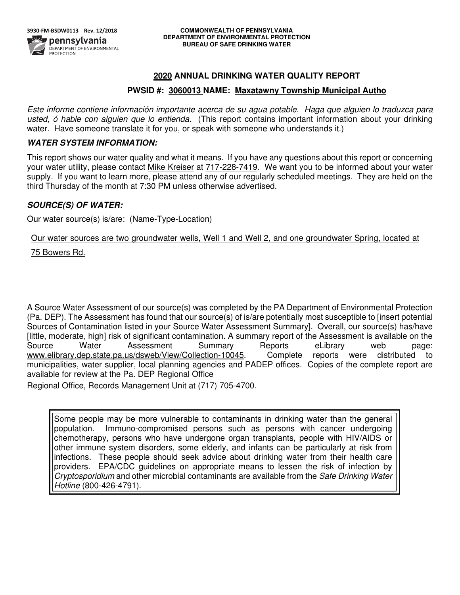# **2020 ANNUAL DRINKING WATER QUALITY REPORT**

# **PWSID #: 3060013 NAME: Maxatawny Township Municipal Autho**

Este informe contiene información importante acerca de su agua potable. Haga que alguien lo traduzca para usted, ó hable con alguien que lo entienda. (This report contains important information about your drinking water. Have someone translate it for you, or speak with someone who understands it.)

# *WATER SYSTEM INFORMATION:*

This report shows our water quality and what it means. If you have any questions about this report or concerning your water utility, please contact Mike Kreiser at 717-228-7419.We want you to be informed about your water supply. If you want to learn more, please attend any of our regularly scheduled meetings. They are held on the third Thursday of the month at 7:30 PM unless otherwise advertised.

# *SOURCE(S) OF WATER:*

Our water source(s) is/are: (Name-Type-Location)

Our water sources are two groundwater wells, Well 1 and Well 2, and one groundwater Spring, located at

75 Bowers Rd.

A Source Water Assessment of our source(s) was completed by the PA Department of Environmental Protection (Pa. DEP). The Assessment has found that our source(s) of is/are potentially most susceptible to [insert potential Sources of Contamination listed in your Source Water Assessment Summary]. Overall, our source(s) has/have [little, moderate, high] risk of significant contamination. A summary report of the Assessment is available on the Source Water Assessment Summary Reports eLibrary web page: www.elibrary.dep.state.pa.us/dsweb/View/Collection-10045. Complete reports were distributed to municipalities, water supplier, local planning agencies and PADEP offices. Copies of the complete report are available for review at the Pa. DEP Regional Office

Regional Office, Records Management Unit at (717) 705-4700.

Some people may be more vulnerable to contaminants in drinking water than the general population. Immuno-compromised persons such as persons with cancer undergoing chemotherapy, persons who have undergone organ transplants, people with HIV/AIDS or other immune system disorders, some elderly, and infants can be particularly at risk from infections. These people should seek advice about drinking water from their health care providers. EPA/CDC guidelines on appropriate means to lessen the risk of infection by Cryptosporidium and other microbial contaminants are available from the Safe Drinking Water Hotline (800-426-4791).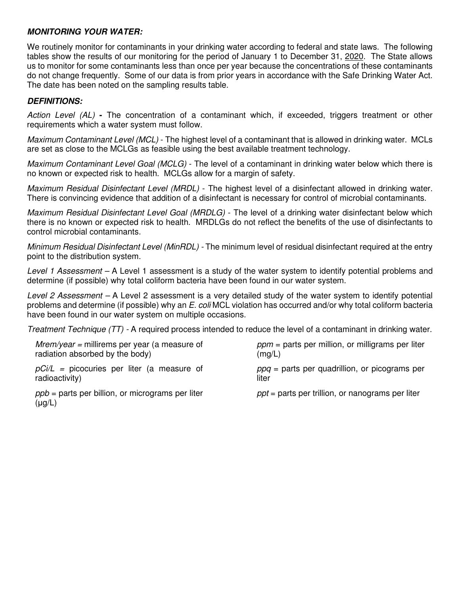# *MONITORING YOUR WATER:*

We routinely monitor for contaminants in your drinking water according to federal and state laws. The following tables show the results of our monitoring for the period of January 1 to December 31, 2020. The State allows us to monitor for some contaminants less than once per year because the concentrations of these contaminants do not change frequently. Some of our data is from prior years in accordance with the Safe Drinking Water Act. The date has been noted on the sampling results table.

# *DEFINITIONS:*

Action Level (AL) **-** The concentration of a contaminant which, if exceeded, triggers treatment or other requirements which a water system must follow.

Maximum Contaminant Level (MCL) - The highest level of a contaminant that is allowed in drinking water. MCLs are set as close to the MCLGs as feasible using the best available treatment technology.

Maximum Contaminant Level Goal (MCLG) - The level of a contaminant in drinking water below which there is no known or expected risk to health. MCLGs allow for a margin of safety.

Maximum Residual Disinfectant Level (MRDL) - The highest level of a disinfectant allowed in drinking water. There is convincing evidence that addition of a disinfectant is necessary for control of microbial contaminants.

Maximum Residual Disinfectant Level Goal (MRDLG) - The level of a drinking water disinfectant below which there is no known or expected risk to health. MRDLGs do not reflect the benefits of the use of disinfectants to control microbial contaminants.

Minimum Residual Disinfectant Level (MinRDL) - The minimum level of residual disinfectant required at the entry point to the distribution system.

Level 1 Assessment – A Level 1 assessment is a study of the water system to identify potential problems and determine (if possible) why total coliform bacteria have been found in our water system.

Level 2 Assessment – A Level 2 assessment is a very detailed study of the water system to identify potential problems and determine (if possible) why an E. coli MCL violation has occurred and/or why total coliform bacteria have been found in our water system on multiple occasions.

Treatment Technique (TT) - A required process intended to reduce the level of a contaminant in drinking water.

 $Mrem/year = millirems per year (a measure of$ radiation absorbed by the body)

 $pCi/L$  = picocuries per liter (a measure of radioactivity)

 $ppb =$  parts per billion, or micrograms per liter (μg/L)

 $ppm =$  parts per million, or milligrams per liter  $(mq/L)$ 

 $ppq =$  parts per quadrillion, or picograms per liter

 $ppt =$  parts per trillion, or nanograms per liter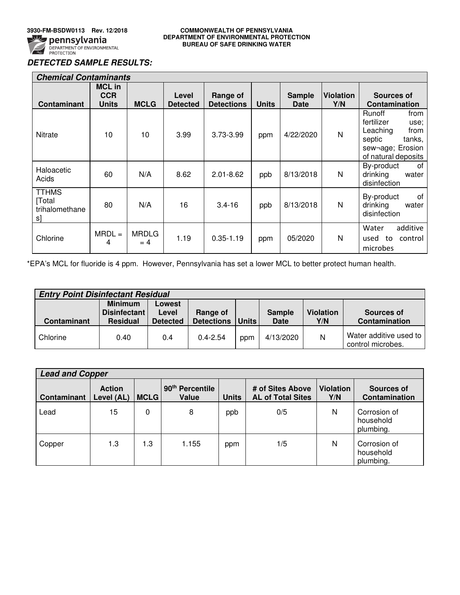

### **3930-FM-BSDW0113 Rev. 12/2018 COMMONWEALTH OF PENNSYLVANIA DEPARTMENT OF ENVIRONMENTAL PROTECTION BUREAU OF SAFE DRINKING WATER**

# *DETECTED SAMPLE RESULTS:*

| <b>Chemical Contaminants</b>                   |                                             |                      |                          |                               |              |                       |                         |                                                                                                                         |
|------------------------------------------------|---------------------------------------------|----------------------|--------------------------|-------------------------------|--------------|-----------------------|-------------------------|-------------------------------------------------------------------------------------------------------------------------|
| <b>Contaminant</b>                             | <b>MCL in</b><br><b>CCR</b><br><b>Units</b> | <b>MCLG</b>          | Level<br><b>Detected</b> | Range of<br><b>Detections</b> | <b>Units</b> | <b>Sample</b><br>Date | <b>Violation</b><br>Y/N | Sources of<br>Contamination                                                                                             |
| Nitrate                                        | 10                                          | 10                   | 3.99                     | 3.73-3.99                     | ppm          | 4/22/2020             | N                       | Runoff<br>from<br>fertilizer<br>use;<br>Leaching<br>from<br>septic<br>tanks,<br>sew-age; Erosion<br>of natural deposits |
| Haloacetic<br>Acids                            | 60                                          | N/A                  | 8.62                     | $2.01 - 8.62$                 | ppb          | 8/13/2018             | N                       | By-product<br>οf<br>drinking<br>water<br>disinfection                                                                   |
| <b>TTHMS</b><br>[Total<br>trihalomethane<br>sl | 80                                          | N/A                  | 16                       | $3.4 - 16$                    | ppb          | 8/13/2018             | N                       | By-product<br>0f<br>drinking<br>water<br>disinfection                                                                   |
| Chlorine                                       | $MRDL =$<br>4                               | <b>MRDLG</b><br>$=4$ | 1.19                     | $0.35 - 1.19$                 | ppm          | 05/2020               | N                       | additive<br>Water<br>control<br>to<br>used<br>microbes                                                                  |

\*EPA's MCL for fluoride is 4 ppm. However, Pennsylvania has set a lower MCL to better protect human health.

| <b>Entry Point Disinfectant Residual</b> |                                                   |                                    |                               |              |                       |                         |                                             |  |
|------------------------------------------|---------------------------------------------------|------------------------------------|-------------------------------|--------------|-----------------------|-------------------------|---------------------------------------------|--|
| <b>Contaminant</b>                       | <b>Minimum</b><br>Disinfectant<br><b>Residual</b> | Lowest<br>Level<br><b>Detected</b> | Range of<br><b>Detections</b> | <b>Units</b> | <b>Sample</b><br>Date | <b>Violation</b><br>Y/N | Sources of<br>Contamination                 |  |
| Chlorine                                 | 0.40                                              | 0.4                                | $0.4 - 2.54$                  | ppm          | 4/13/2020             |                         | Water additive used to<br>control microbes. |  |

| <b>Lead and Copper</b> |                             |             |                                      |              |                                              |                         |                                        |  |
|------------------------|-----------------------------|-------------|--------------------------------------|--------------|----------------------------------------------|-------------------------|----------------------------------------|--|
| <b>Contaminant</b>     | <b>Action</b><br>Level (AL) | <b>MCLG</b> | 90 <sup>th</sup> Percentile<br>Value | <b>Units</b> | # of Sites Above<br><b>AL of Total Sites</b> | <b>Violation</b><br>Y/N | Sources of<br>Contamination            |  |
| Lead                   | 15                          | 0           | 8                                    | ppb          | 0/5                                          | N                       | Corrosion of<br>household<br>plumbing. |  |
| Copper                 | 1.3                         | 1.3         | 1.155                                | ppm          | 1/5                                          | N                       | Corrosion of<br>household<br>plumbing. |  |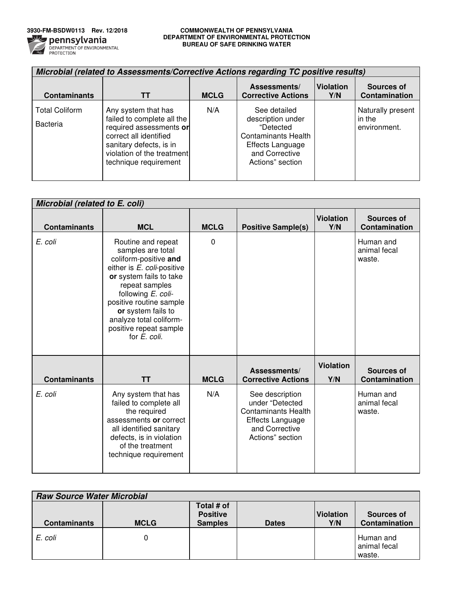

### **3930-FM-BSDW0113 Rev. 12/2018 COMMONWEALTH OF PENNSYLVANIA DEPARTMENT OF ENVIRONMENTAL PROTECTION BUREAU OF SAFE DRINKING WATER**

| Microbial (related to Assessments/Corrective Actions regarding TC positive results) |                                                                                                                                                                                          |             |                                                                                                                                        |                         |                                             |  |  |  |
|-------------------------------------------------------------------------------------|------------------------------------------------------------------------------------------------------------------------------------------------------------------------------------------|-------------|----------------------------------------------------------------------------------------------------------------------------------------|-------------------------|---------------------------------------------|--|--|--|
| <b>Contaminants</b>                                                                 |                                                                                                                                                                                          | <b>MCLG</b> | Assessments/<br><b>Corrective Actions</b>                                                                                              | <b>Violation</b><br>Y/N | Sources of<br>Contamination                 |  |  |  |
| <b>Total Coliform</b><br>Bacteria                                                   | Any system that has<br>failed to complete all the<br>required assessments or<br>correct all identified<br>sanitary defects, is in<br>violation of the treatment<br>technique requirement | N/A         | See detailed<br>description under<br>"Detected<br><b>Contaminants Health</b><br>Effects Language<br>and Corrective<br>Actions" section |                         | Naturally present<br>in the<br>environment. |  |  |  |

| Microbial (related to E. coli) |                                                                                                                                                                                                                                                                                         |             |                                                                                                                                   |                         |                                           |
|--------------------------------|-----------------------------------------------------------------------------------------------------------------------------------------------------------------------------------------------------------------------------------------------------------------------------------------|-------------|-----------------------------------------------------------------------------------------------------------------------------------|-------------------------|-------------------------------------------|
| <b>Contaminants</b>            | <b>MCL</b>                                                                                                                                                                                                                                                                              | <b>MCLG</b> | <b>Positive Sample(s)</b>                                                                                                         | <b>Violation</b><br>Y/N | Sources of<br>Contamination               |
| E. coli                        | Routine and repeat<br>samples are total<br>coliform-positive and<br>either is E. coli-positive<br>or system fails to take<br>repeat samples<br>following E. coli-<br>positive routine sample<br>or system fails to<br>analyze total coliform-<br>positive repeat sample<br>for E. coli. | $\Omega$    |                                                                                                                                   |                         | Human and<br>animal fecal<br>waste.       |
| <b>Contaminants</b>            | <b>TT</b>                                                                                                                                                                                                                                                                               | <b>MCLG</b> | Assessments/<br><b>Corrective Actions</b>                                                                                         | <b>Violation</b><br>Y/N | <b>Sources of</b><br><b>Contamination</b> |
| E. coli                        | Any system that has<br>failed to complete all<br>the required<br>assessments or correct<br>all identified sanitary<br>defects, is in violation<br>of the treatment<br>technique requirement                                                                                             | N/A         | See description<br>under "Detected<br><b>Contaminants Health</b><br><b>Effects Language</b><br>and Corrective<br>Actions" section |                         | Human and<br>animal fecal<br>waste.       |

| <b>Raw Source Water Microbial</b> |             |                                                 |              |                         |                                     |  |  |  |
|-----------------------------------|-------------|-------------------------------------------------|--------------|-------------------------|-------------------------------------|--|--|--|
| <b>Contaminants</b>               | <b>MCLG</b> | Total # of<br><b>Positive</b><br><b>Samples</b> | <b>Dates</b> | <b>Violation</b><br>Y/N | Sources of<br>Contamination         |  |  |  |
| E. coli                           |             |                                                 |              |                         | Human and<br>animal fecal<br>waste. |  |  |  |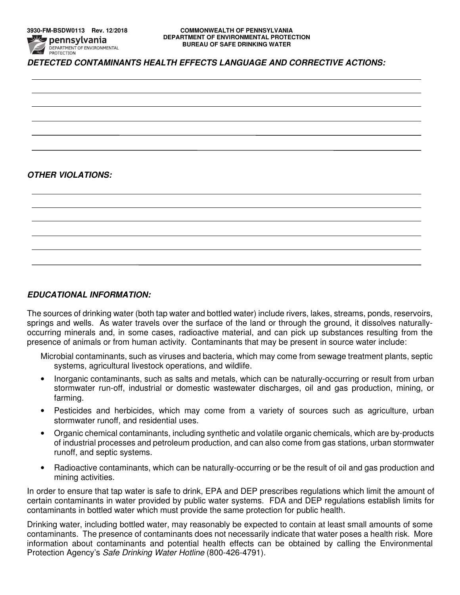# *DETECTED CONTAMINANTS HEALTH EFFECTS LANGUAGE AND CORRECTIVE ACTIONS:*

# *OTHER VIOLATIONS:*

## *EDUCATIONAL INFORMATION:*

The sources of drinking water (both tap water and bottled water) include rivers, lakes, streams, ponds, reservoirs, springs and wells. As water travels over the surface of the land or through the ground, it dissolves naturallyoccurring minerals and, in some cases, radioactive material, and can pick up substances resulting from the presence of animals or from human activity. Contaminants that may be present in source water include:

Microbial contaminants, such as viruses and bacteria, which may come from sewage treatment plants, septic systems, agricultural livestock operations, and wildlife.

- Inorganic contaminants, such as salts and metals, which can be naturally-occurring or result from urban stormwater run-off, industrial or domestic wastewater discharges, oil and gas production, mining, or farming.
- Pesticides and herbicides, which may come from a variety of sources such as agriculture, urban stormwater runoff, and residential uses.
- Organic chemical contaminants, including synthetic and volatile organic chemicals, which are by-products of industrial processes and petroleum production, and can also come from gas stations, urban stormwater runoff, and septic systems.
- Radioactive contaminants, which can be naturally-occurring or be the result of oil and gas production and mining activities.

In order to ensure that tap water is safe to drink, EPA and DEP prescribes regulations which limit the amount of certain contaminants in water provided by public water systems. FDA and DEP regulations establish limits for contaminants in bottled water which must provide the same protection for public health.

Drinking water, including bottled water, may reasonably be expected to contain at least small amounts of some contaminants. The presence of contaminants does not necessarily indicate that water poses a health risk. More information about contaminants and potential health effects can be obtained by calling the Environmental Protection Agency's Safe Drinking Water Hotline (800-426-4791).